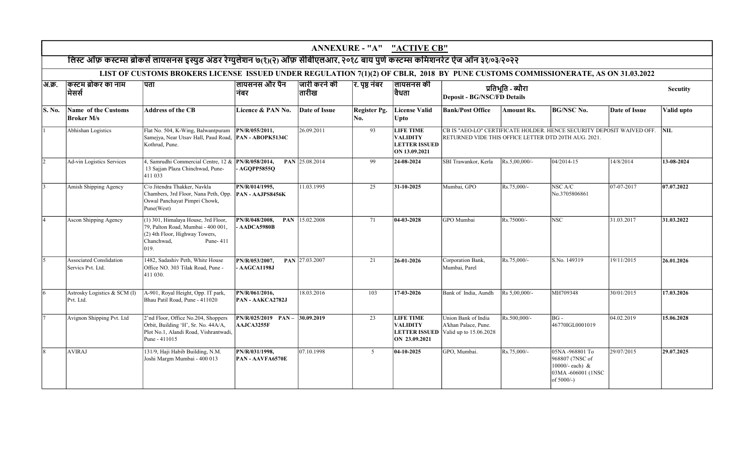|        | ANNEXURE - "A" "ACTIVE CB"                          |                                                                                                                                                 |                                              |                       |                     |                                                                              |                                                                       |                                                                                                                                                          |                                                                                              |                 |            |  |  |  |  |
|--------|-----------------------------------------------------|-------------------------------------------------------------------------------------------------------------------------------------------------|----------------------------------------------|-----------------------|---------------------|------------------------------------------------------------------------------|-----------------------------------------------------------------------|----------------------------------------------------------------------------------------------------------------------------------------------------------|----------------------------------------------------------------------------------------------|-----------------|------------|--|--|--|--|
|        |                                                     | लिस्ट ऑफ़ कस्टम्स ब्रोकर्स लायसनस इस्युड अंडर रेग्युलेशन ७(१)(२) ऑफ़ सीबीएलआर, २०१८ बाय पुणे कस्टम्स कमिशनरेट ऐज ऑन ३१/०३/२०२२                  |                                              |                       |                     |                                                                              |                                                                       |                                                                                                                                                          |                                                                                              |                 |            |  |  |  |  |
|        |                                                     | LIST OF CUSTOMS BROKERS LICENSE ISSUED UNDER REGULATION 7(1)(2) OF CBLR, 2018 BY PUNE CUSTOMS COMMISSIONERATE, AS ON 31.03.2022                 |                                              |                       |                     |                                                                              |                                                                       |                                                                                                                                                          |                                                                                              |                 |            |  |  |  |  |
| अ.क्र. | किस्टम ब्रोकर का नाम<br> मेसर्स                     | पता                                                                                                                                             | लायसनस और पैन<br>निबर                        | जारी करने की<br>तारीख | रि. पृष्ठ नंबर      | लायसनस की<br> वैधता                                                          | Deposit - BG/NSC/FD Details                                           | प्रतिभूति - ब्यौरा                                                                                                                                       |                                                                                              | <b>Secutity</b> |            |  |  |  |  |
| S. No. | Name of the Customs<br><b>Broker M/s</b>            | <b>Address of the CB</b>                                                                                                                        | Licence & PAN No.                            | Date of Issue         | Register Pg.<br>No. | <b>License Valid</b><br>Upto                                                 | <b>Bank/Post Office</b>                                               | Amount Rs.                                                                                                                                               | <b>BG/NSC No.</b>                                                                            | Date of Issue   | Valid upto |  |  |  |  |
|        | Abhishan Logistics                                  | Flat No. 504, K-Wing, Balwantpuram<br>Samejya, Near Utsav Hall, Paud Road, PAN - ABOPK5134C<br>Kothrud, Pune.                                   | PN/R/055/2011,                               | 26.09.2011            | 93                  | <b>LIFE TIME</b><br><b>VALIDITY</b><br><b>LETTER ISSUED</b><br>ON 13.09.2021 |                                                                       | CB IS "AEO-LO" CERTIFICATE HOLDER. HENCE SECURITY DEPOSIT WAIVED OFF.<br>$\overline{\text{NIL}}$<br>RETURNED VIDE THIS OFFICE LETTER DTD 20TH AUG. 2021. |                                                                                              |                 |            |  |  |  |  |
|        | Ad-vin Logistics Services                           | 4. Samrudhi Commercial Centre, 12 & <b>PN/R/058/2014</b> .<br>13 Sajjan Plaza Chinchwad, Pune-<br>411 033                                       | <b>AGOPP58550</b>                            | PAN 25.08.2014        | 99                  | 24-08-2024                                                                   | SBI Trawankor, Kerla                                                  | $Rs.5.00.000/-$                                                                                                                                          | 04/2014-15                                                                                   | 14/8/2014       | 13-08-2024 |  |  |  |  |
|        | Amish Shipping Agency                               | C/o Jitendra Thakker, Navkla<br>Chambers, 3rd Floor, Nana Peth, Opp.<br>Oswal Panchayat Pimpri Chowk,<br>Pune(West)                             | PN/R/014/1995,<br>PAN - AAJPS8456K           | 11.03.1995            | 25                  | 31-10-2025                                                                   | Mumbai, GPO                                                           | Rs.75,000/-                                                                                                                                              | NSC A/C<br>No.3705806861                                                                     | 07-07-2017      | 07.07.2022 |  |  |  |  |
|        | Ascon Shipping Agency                               | (1) 301, Himalaya House, 3rd Floor,<br>79, Palton Road, Mumbai - 400 001,<br>$(2)$ 4th Floor, Highway Towers,<br>Chanchwad,<br>Pune-411<br>019. | PN/R/048/2008,<br><b>PAN</b><br>AADCA5980B   | 15.02.2008            | 71                  | 04-03-2028                                                                   | GPO Mumbai                                                            | Rs.75000/-                                                                                                                                               | <b>NSC</b>                                                                                   | 31.03.2017      | 31.03.2022 |  |  |  |  |
|        | <b>Associated Conslidation</b><br>Servics Pvt. Ltd. | 1482, Sadashiv Peth, White House<br>Office NO. 303 Tilak Road, Pune -<br>411 030.                                                               | PN/R/053/2007,<br><b>AAGCA1198J</b>          | PAN 27.03.2007        | 21                  | 26-01-2026                                                                   | Corporation Bank,<br>Mumbai, Parel                                    | Rs.75,000/-                                                                                                                                              | S.No. 149319                                                                                 | 19/11/2015      | 26.01.2026 |  |  |  |  |
|        | Astrosky Logistics & SCM (I)<br>Pvt. Ltd.           | A-901, Royal Height, Opp. IT park,<br>Bhau Patil Road, Pune - 411020                                                                            | PN/R/061/2016,<br>PAN - AAKCA2782J           | 18.03.2016            | 103                 | 17-03-2026                                                                   | Bank of India, Aundh                                                  | Rs 5,00,000/-                                                                                                                                            | MH709348                                                                                     | 30/01/2015      | 17.03.2026 |  |  |  |  |
|        | Avignon Shipping Pvt. Ltd                           | 2'nd Floor, Office No.204, Shoppers<br>Orbit, Building 'H', Sr. No. 44A/A,<br>Plot No.1, Alandi Road, Vishrantwadi,<br>Pune - 411015            | $PN/R/025/2019$ $PAN -$<br><b>AAJCA3255F</b> | 30.09.2019            | 23                  | <b>LIFE TIME</b><br><b>VALIDITY</b><br><b>LETTER ISSUED</b><br>ON 23.09.2021 | Union Bank of India<br>A'khan Palace, Pune.<br>Valid up to 15.06.2028 | Rs.500,000/-                                                                                                                                             | $BG -$<br>46770IGL0001019                                                                    | 04.02.2019      | 15.06.2028 |  |  |  |  |
| 8      | <b>AVIRAJ</b>                                       | 131/9, Haji Habib Building, N.M.<br>Joshi Margm Mumbai - 400 013                                                                                | PN/R/031/1998,<br><b>PAN - AAVFA6570E</b>    | 07.10.1998            | 5 <sup>5</sup>      | $04 - 10 - 2025$                                                             | GPO, Mumbai.                                                          | Rs.75,000/-                                                                                                                                              | 05NA -968801 To<br>968807 (7NSC of<br>10000/- each) &<br>03MA -606001 (1NSC<br>of $5000/-$ ) | 29/07/2015      | 29.07.2025 |  |  |  |  |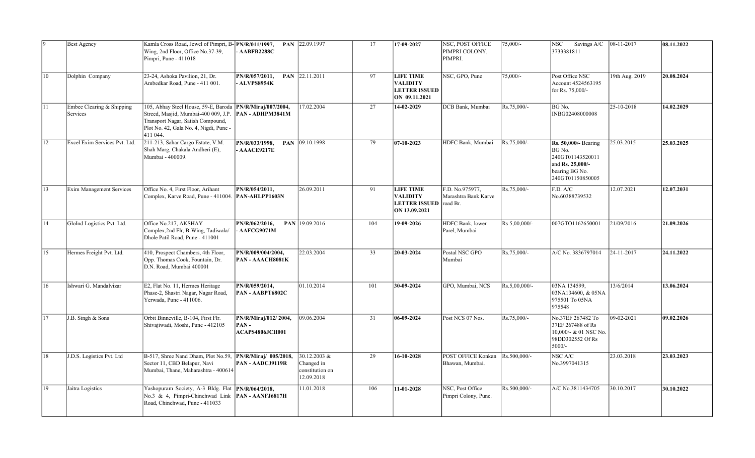| ١q            | <b>Best Agency</b>                    | Kamla Cross Road, Jewel of Pimpri, B-PN/R/011/1997,<br>Wing, 2nd Floor, Office No.37-39,<br>Pimpri, Pune - 411018                                                                                             | $-AABFB2288C$                                   | PAN 22.09.1997                                                 | 17  | 17-09-2027                                                                   | NSC, POST OFFICE<br>PIMPRI COLONY,<br>PIMPRI.       | $75,000/$ -   | Savings A/C 08-11-2017<br>NSC<br>3733381811                                                                  |                | 08.11.2022 |
|---------------|---------------------------------------|---------------------------------------------------------------------------------------------------------------------------------------------------------------------------------------------------------------|-------------------------------------------------|----------------------------------------------------------------|-----|------------------------------------------------------------------------------|-----------------------------------------------------|---------------|--------------------------------------------------------------------------------------------------------------|----------------|------------|
| 10            | Dolphin Company                       | 23-24, Ashoka Pavilion, 21, Dr.<br>Ambedkar Road, Pune - 411 001.                                                                                                                                             | PN/R/057/2011,<br>ALVPS8954K                    | PAN 22.11.2011                                                 | 97  | <b>LIFE TIME</b><br><b>VALIDITY</b><br><b>LETTER ISSUED</b><br>ON 09.11.2021 | NSC, GPO, Pune                                      | 75,000/-      | Post Office NSC<br>Account 4524563195<br>for Rs. 75,000/-                                                    | 19th Aug. 2019 | 20.08.2024 |
| 11            | Embee Clearing & Shipping<br>Services | 105, Abhay Steel House, 59-E, Baroda PN/R/Miraj/007/2004,<br>Streed, Masjid, Mumbai-400 009, J.P. PAN - ADHPM3841M<br>Transport Nagar, Satish Compound,<br>Plot No. 42, Gala No. 4, Nigdi, Pune -<br>411 044. |                                                 | 17.02.2004                                                     | 27  | 14-02-2029                                                                   | DCB Bank, Mumbai                                    | Rs.75,000/-   | BG No.<br>INBG02408000008                                                                                    | 25-10-2018     | 14.02.2029 |
| 12            | Excel Exim Services Pvt. Ltd.         | 211-213, Sahar Cargo Estate, V.M.<br>Shah Marg, Chakala Andheri (E),<br>Mumbai - 400009.                                                                                                                      | PN/R/033/1998,<br><b>AAACE9217E</b>             | PAN 09.10.1998                                                 | 79  | 07-10-2023                                                                   | HDFC Bank, Mumbai                                   | Rs.75,000/-   | Rs. 50,000/- Bearing<br>BG No.<br>240GT01143520011<br>and Rs. 25,000/-<br>bearing BG No.<br>240GT01150850005 | 25.03.2015     | 25.03.2025 |
| 13            | Exim Management Services              | Office No. 4, First Floor, Arihant<br>Complex, Karve Road, Pune - 411004.  PAN-AHLPP1603N                                                                                                                     | PN/R/054/2011,                                  | 26.09.2011                                                     | 91  | <b>LIFE TIME</b><br><b>VALIDITY</b><br><b>LETTER ISSUED</b><br>ON 13.09.2021 | F.D. No.975977,<br>Marashtra Bank Karve<br>road Br. | Rs.75,000/-   | F.D. A/C<br>No.60388739532                                                                                   | 12.07.2021     | 12.07.2031 |
| 14            | GloInd Logistics Pvt. Ltd.            | Office No.217, AKSHAY<br>Complex, 2nd Flr, B-Wing, Tadiwala/<br>Dhole Patil Road, Pune - 411001                                                                                                               | PN/R/062/2016,<br>AAFCG9071M                    | PAN $ 19.09.2016$                                              | 104 | $19-09-2026$                                                                 | HDFC Bank, lower<br>Parel, Mumbai                   | Rs 5,00,000/- | 007GTO1162650001                                                                                             | 21/09/2016     | 21.09.2026 |
| $ 15\rangle$  | Hermes Freight Pvt. Ltd.              | 410, Prospect Chambers, 4th Floor,<br>Opp. Thomas Cook, Fountain, Dr.<br>D.N. Road, Mumbai 400001                                                                                                             | PN/R/009/004/2004,<br>PAN - AAACH8081K          | 22.03.2004                                                     | 33  | 20-03-2024                                                                   | Postal NSC GPO<br>Mumbai                            | Rs.75,000/-   | A/C No. 3836797014                                                                                           | 24-11-2017     | 24.11.2022 |
| <sup>16</sup> | Ishwari G. Mandalvizar                | E2, Flat No. 11, Hermes Heritage<br>Phase-2, Shastri Nagar, Nagar Road,<br>Yerwada, Pune - 411006.                                                                                                            | PN/R/059/2014,<br>PAN - AABPT6802C              | 01.10.2014                                                     | 101 | 30-09-2024                                                                   | GPO, Mumbai, NCS                                    | Rs.5,00,000/- | 03NA 134599,<br>03NA134600, & 05NA<br>975501 To 05NA<br>975548                                               | 13/6/2014      | 13.06.2024 |
| 17            | J.B. Singh & Sons                     | Orbit Binneville, B-104, First Flr.<br>Shivajiwadi, Moshi, Pune - 412105                                                                                                                                      | PN/R/Miraj/012/2004,<br>PAN-<br>ACAPS4806JCH001 | 09.06.2004                                                     | 31  | 06-09-2024                                                                   | Post NCS 07 Nos.                                    | Rs.75,000/-   | No.37EF 267482 To<br>37EF 267488 of Rs<br>10,000/- & 01 NSC No.<br>98DD302552 Of Rs<br>$5000/-$              | 09-02-2021     | 09.02.2026 |
| 18            | J.D.S. Logistics Pvt. Ltd             | B-517, Shree Nand Dham, Plot No.59, PN/R/Miraj/ 005/2018,<br>Sector 11, CBD Belapur, Navi<br>Mumbai, Thane, Maharashtra - 400614                                                                              | PAN - AADCJ9119R                                | $30.12.2003 \&$<br>Changed in<br>constitution on<br>12.09.2018 | 29  | 16-10-2028                                                                   | POST OFFICE Konkan<br>Bhawan, Mumbai.               | Rs.500,000/-  | NSC A/C<br>No.3997041315                                                                                     | 23.03.2018     | 23.03.2023 |
| 19            | Jaitra Logistics                      | Yashopuram Society, A-3 Bldg. Flat PN/R/064/2018,<br>No.3 & 4, Pimpri-Chinchwad Link <b>PAN</b> - AANFJ6817H<br>Road, Chinchwad, Pune - 411033                                                                |                                                 | 11.01.2018                                                     | 106 | 11-01-2028                                                                   | NSC, Post Office<br>Pimpri Colony, Pune.            | Rs.500,000/-  | A/C No.3811434705                                                                                            | 30.10.2017     | 30.10.2022 |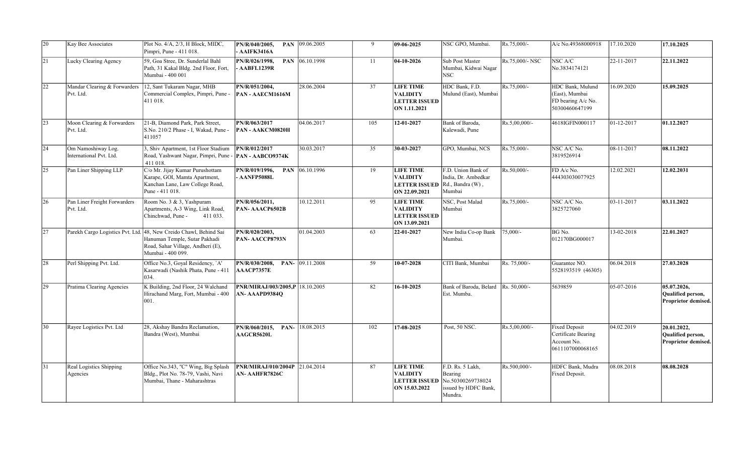| 20           | Kay Bee Associates                            | Plot No. 4/A, 2/3, H Block, MIDC,<br>Pimpri, Pune - 411 018.                                                                | PN/R/040/2005,<br>- AAIFK3416A                           | PAN 09.06.2005 | 9   | 09-06-2025                                                                   | NSC GPO, Mumbai.                                                                    | Rs.75,000/-     | A/c No.49368000918                                                             | 17.10.2020 | 17.10.2025                                              |
|--------------|-----------------------------------------------|-----------------------------------------------------------------------------------------------------------------------------|----------------------------------------------------------|----------------|-----|------------------------------------------------------------------------------|-------------------------------------------------------------------------------------|-----------------|--------------------------------------------------------------------------------|------------|---------------------------------------------------------|
| 21           | Lucky Clearing Agency                         | 59, Goa Stree, Dr. Sunderlal Bahl<br>Path, 31 Kakal Bldg. 2nd Floor, Fort,<br>Mumbai - 400 001                              | PN/R/026/1998,<br><b>AABFL1239R</b>                      | PAN 06.10.1998 | 11  | 04-10-2026                                                                   | Sub Post Master<br>Mumbai, Kidwai Nagar<br>NSC-                                     | Rs.75,000/- NSC | NSC A/C<br>No.3834174121                                                       | 22-11-2017 | 22.11.2022                                              |
| 22           | Mandar Clearing & Forwarders<br>Pvt. Ltd.     | 12, Sant Tukaram Nagar, MHB<br>Commercial Complex, Pimpri, Pune -<br>411 018.                                               | PN/R/051/2004,<br>PAN - AAECM1616M                       | 28.06.2004     | 37  | <b>LIFE TIME</b><br><b>VALIDITY</b><br><b>LETTER ISSUED</b><br>ON 1.11.2021  | HDC Bank, F.D.<br>Mulund (East), Mumbai                                             | Rs.75,000/-     | HDC Bank, Mulund<br>(East), Mumbai<br>FD bearing A/c No.<br>50300460647199     | 16.09.2020 | 15.09.2025                                              |
| 23           | Moon Clearing & Forwarders<br>Pvt. Ltd.       | 21-B, Diamond Park, Park Street,<br>S.No. 210/2 Phase - I. Wakad. Pune -<br>411057                                          | PN/R/063/2017<br>PAN - AAKCM0820H                        | 04.06.2017     | 105 | 12-01-2027                                                                   | Bank of Baroda.<br>Kalewadi, Pune                                                   | Rs.5,00,000/-   | 4618IGFIN000117                                                                | 01-12-2017 | 01.12.2027                                              |
| 24           | Om Namoshiway Log.<br>International Pvt. Ltd. | 3, Shiv Apartment, 1st Floor Stadium<br>Road, Yashwant Nagar, Pimpri, Pune -<br>411 018.                                    | PN/R/012/2017<br>PAN - AABCO9374K                        | 30.03.2017     | 35  | 30-03-2027                                                                   | GPO, Mumbai, NCS                                                                    | Rs.75,000/-     | NSC A/C No.<br>3819526914                                                      | 08-11-2017 | 08.11.2022                                              |
| 25           | Pan Liner Shipping LLP                        | C/o Mr. Jijay Kumar Purushottam<br>Karape, GOI, Mamta Apartment,<br>Kanchan Lane, Law College Road,<br>Pune - 411 018.      | PN/R/019/1996,<br><b>PAN</b><br>AANFP5088L               | 06.10.1996     | 19  | <b>LIFE TIME</b><br><b>VALIDITY</b><br><b>LETTER ISSUED</b><br>ON 22.09.2021 | F.D. Union Bank of<br>India, Dr. Ambedkar<br>Rd., Bandra (W),<br>Mumbai             | Rs.50,000/-     | FD A/c No.<br>444303030077925                                                  | 12.02.2021 | 12.02.2031                                              |
| 26           | Pan Liner Freight Forwarders<br>Pvt. Ltd.     | Room No. 3 & 3, Yashpuram<br>Apartments, A-3 Wing, Link Road,<br>Chinchwad, Pune -<br>411 033.                              | PN/R/056/2011,<br>PAN-AAACP6502B                         | 10.12.2011     | 95  | <b>LIFE TIME</b><br><b>VALIDITY</b><br><b>LETTER ISSUED</b><br>ON 13.09.2021 | NSC, Post Malad<br>Mumbai                                                           | Rs.75,000/-     | NSC A/C No.<br>3825727060                                                      | 03-11-2017 | 03.11.2022                                              |
| 27           | Parekh Cargo Logistics Pvt. Ltd.              | 48, New Creido Chawl, Behind Sai<br>Hanuman Temple, Sutar Pakhadi<br>Road, Sahar Village, Andheri (E),<br>Mumbai - 400 099. | PN/R/020/2003.<br>PAN-AACCP8793N                         | 01.04.2003     | 63  | 22-01-2027                                                                   | New India Co-op Bank<br>Mumbai.                                                     | $75,000/-$      | BG No.<br>012170BG000017                                                       | 13-02-2018 | 22.01.2027                                              |
| 28           | Perl Shipping Pvt. Ltd.                       | Office No.3, Goyal Residency, `A'<br>Kasarwadi (Nashik Phata, Pune - 411<br>034.                                            | PN/R/030/2008,<br>AAACP7357E                             | PAN-09.11.2008 | 59  | 10-07-2028                                                                   | CITI Bank, Mumbai                                                                   | Rs. 75,000/-    | Guarantee NO.<br>5528193519 (46305)                                            | 06.04.2018 | 27.03.2028                                              |
| 29           | Pratima Clearing Agencies                     | K Building, 2nd Floor, 24 Walchand<br>Hirachand Marg, Fort, Mumbai - 400<br>001.                                            | <b>PNR/MIRAJ/003/2005,P 18.10.2005</b><br>AN- AAAPD9384Q |                | 82  | 16-10-2025                                                                   | Bank of Baroda, Belard   Rs. 50,000/-<br>Est. Mumba.                                |                 | 5639859                                                                        | 05-07-2016 | 05.07.2026,<br>Qualified person,<br>Proprietor demised. |
| 30           | Rayee Logistics Pvt. Ltd                      | 28, Akshay Bandra Reclamation,<br>Bandra (West), Mumbai                                                                     | PN/R/060/2015,<br>PAN-<br><b>AAGCR5620L</b>              | 18.08.2015     | 102 | 17-08-2025                                                                   | Post, 50 NSC.                                                                       | Rs.5,00,000/-   | <b>Fixed Deposit</b><br>Certificate Bearing<br>Account No.<br>0611107000068165 | 04.02.2019 | 20.01.2022,<br>Qualified person,<br>Proprietor demised. |
| $ 31\rangle$ | Real Logistics Shipping<br>Agencies           | Office No.343, "C" Wing, Big Splash<br>Bldg., Plot No. 78-79, Vashi, Navi<br>Mumbai, Thane - Maharashtras                   | <b>PNR/MIRAJ/010/2004P</b><br>AN-AAHFR7826C              | 21.04.2014     | 87  | <b>LIFE TIME</b><br><b>VALIDITY</b><br><b>LETTER ISSUED</b><br>ON 15.03.2022 | F.D. Rs. 5 Lakh,<br>Bearing<br>No.50300269738024<br>issued by HDFC Bank,<br>Mundra. | Rs.500,000/-    | HDFC Bank, Mudra<br>Fixed Deposit.                                             | 08.08.2018 | 08.08.2028                                              |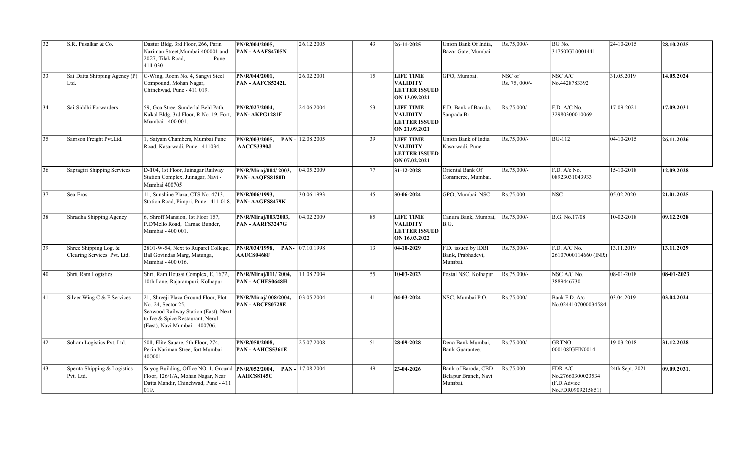| 32 | S.R. Pusalkar & Co.                                  | Dastur Bldg. 3rd Floor, 266, Parin<br>Nariman Street, Mumbai-400001 and<br>2027, Tilak Road,<br>Pune -<br>411 030                                                       | PN/R/004/2005,<br><b>PAN - AAAFS4705N</b>        | 26.12.2005          | 43 | $ 26-11-2025 $                                                               | Union Bank Of India,<br>Bazar Gate, Mumbai             | Rs.75,000/-             | BG No.<br>31750IGL0001441                                        | 24-10-2015      | 28.10.2025  |
|----|------------------------------------------------------|-------------------------------------------------------------------------------------------------------------------------------------------------------------------------|--------------------------------------------------|---------------------|----|------------------------------------------------------------------------------|--------------------------------------------------------|-------------------------|------------------------------------------------------------------|-----------------|-------------|
| 33 | Sai Datta Shipping Agency (P)<br>Ltd.                | C-Wing, Room No. 4, Sangvi Steel<br>Compound, Mohan Nagar,<br>Chinchwad, Pune - 411 019.                                                                                | PN/R/044/2001,<br><b>PAN - AAFCS5242L</b>        | 26.02.2001          | 15 | <b>LIFE TIME</b><br><b>VALIDITY</b><br><b>LETTER ISSUED</b><br>ON 13.09.2021 | GPO, Mumbai.                                           | NSC of<br>Rs. 75, 000/- | NSC A/C<br>No.4428783392                                         | 31.05.2019      | 14.05.2024  |
| 34 | Sai Siddhi Forwarders                                | 59, Goa Stree, Sunderlal Behl Path,<br>Kakal Bldg. 3rd Floor, R.No. 19, Fort,<br>Mumbai - 400 001.                                                                      | PN/R/027/2004,<br><b>PAN-AKPG1281F</b>           | 24.06.2004          | 53 | <b>LIFE TIME</b><br><b>VALIDITY</b><br><b>LETTER ISSUED</b><br>ON 21.09.2021 | F.D. Bank of Baroda,<br>Sanpada Br.                    | Rs.75,000/-             | F.D. A/C No.<br>32980300010069                                   | 17-09-2021      | 17.09.2031  |
| 35 | Samson Freight Pvt.Ltd.                              | 1, Satyam Chambers, Mumbai Pune<br>Road, Kasarwadi, Pune - 411034.                                                                                                      | PN/R/003/2005,<br>AACCS3390J                     | PAN - $ 12.08.2005$ | 39 | <b>LIFE TIME</b><br><b>VALIDITY</b><br><b>LETTER ISSUED</b><br>ON 07.02.2021 | Union Bank of India<br>Kasarwadi, Pune.                | Rs.75,000/-             | <b>BG-112</b>                                                    | 04-10-2015      | 26.11.2026  |
| 36 | Saptagiri Shipping Services                          | D-104, 1st Floor, Juinagar Railway<br>Station Complex, Juinagar, Navi -<br>Mumbai 400705                                                                                | PN/R/Miraj/004/2003,<br>PAN-AAQFS8180D           | 04.05.2009          | 77 | 31-12-2028                                                                   | Oriental Bank Of<br>Commerce, Mumbai.                  | Rs.75,000/-             | F.D. A/c No.<br>08923031043933                                   | 15-10-2018      | 12.09.2028  |
| 37 | Sea Eros                                             | 11, Sunshine Plaza, CTS No. 4713,<br>Station Road, Pimpri, Pune - 411 018.                                                                                              | PN/R/006/1993,<br>PAN-AAGFS8479K                 | 30.06.1993          | 45 | 30-06-2024                                                                   | GPO, Mumbai. NSC                                       | Rs.75,000               | <b>NSC</b>                                                       | 05.02.2020      | 21.01.2025  |
| 38 | Shradha Shipping Agency                              | 6, Shroff Mansion, 1st Floor 157,<br>P.D'Mello Road, Carnac Bunder,<br>Mumbai - 400 001.                                                                                | PN/R/Miraj/003/2003,<br>PAN - AARFS3247G         | 04.02.2009          | 85 | <b>LIFE TIME</b><br><b>VALIDITY</b><br><b>LETTER ISSUED</b><br>ON 16.03.2022 | Canara Bank, Mumbai,<br>B.G.                           | Rs.75,000/-             | B.G. No.17/08                                                    | 10-02-2018      | 09.12.2028  |
| 39 | Shree Shipping Log. &<br>Clearing Services Pvt. Ltd. | 2801-W-54, Next to Ruparel College,<br>Bal Govindas Marg, Matunga,<br>Mumbai - 400 016.                                                                                 | PN/R/034/1998,<br><b>AAUCS0468F</b>              | PAN- 07.10.1998     | 13 | 04-10-2029                                                                   | F.D. issued by IDBI<br>Bank, Prabhadevi,<br>Mumbai.    | Rs.75,000/-             | F.D. A/C No.<br>26107000114660 (INR)                             | 13.11.2019      | 13.11.2029  |
| 40 | Shri. Ram Logistics                                  | Shri. Ram Housai Complex, E, 1672,<br>10th Lane, Rajarampuri, Kolhapur                                                                                                  | PN/R/Miraj/011/2004,<br>PAN - ACHFS0648H         | 11.08.2004          | 55 | 10-03-2023                                                                   | Postal NSC, Kolhapur                                   | Rs.75,000/-             | NSC A/C No.<br>3889446730                                        | 08-01-2018      | 08-01-2023  |
| 41 | Silver Wing C & F Services                           | 21, Shreeji Plaza Ground Floor, Plot<br>No. 24, Sector 25,<br>Seawood Railway Station (East), Next<br>to Ice & Spice Restaurant, Nerul<br>(East), Navi Mumbai - 400706. | PN/R/Miraj/ 008/2004,<br><b>PAN - ABCFS0728E</b> | 03.05.2004          | 41 | $\sqrt{04-03-20}$ 24                                                         | NSC, Mumbai P.O.                                       | Rs.75,000/-             | Bank F.D. A/c<br>No.0244107000034584                             | 03.04.2019      | 03.04.2024  |
| 42 | Soham Logistics Pvt. Ltd.                            | 501, Elite Sauare, 5th Floor, 274,<br>Perin Nariman Stree, fort Mumbai -<br>400001.                                                                                     | PN/R/050/2008.<br><b>PAN - AAHCS5361E</b>        | 25.07.2008          | 51 | 28-09-2028                                                                   | Dena Bank Mumbai.<br>Bank Guarantee.                   | Rs.75,000/-             | <b>GRTNO</b><br>000108IGFIN0014                                  | 19-03-2018      | 31.12.2028  |
| 43 | Spenta Shipping & Logistics<br>Pvt. Ltd.             | Suyog Building, Office NO. 1, Ground<br>Floor, 126/1/A, Mohan Nagar, Near<br>Datta Mandir, Chinchwad, Pune - 411<br>019.                                                | PN/R/052/2004,<br>AAHCS8145C                     | $PAN - 17.08.2004$  | 49 | 23-04-2026                                                                   | Bank of Baroda, CBD<br>Belapur Branch, Navi<br>Mumbai. | Rs.75,000               | FDR A/C<br>No.27660300023534<br>(F.D.Advice<br>No.FDR0909215851) | 24th Sept. 2021 | 09.09.2031. |